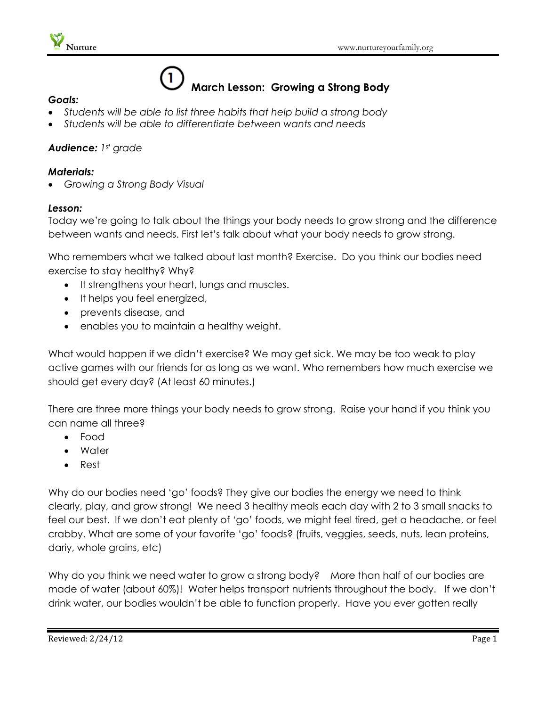

# $\mathbf{1}$ **March Lesson: Growing a Strong Body**

#### *Goals:*

- *Students will be able to list three habits that help build a strong body*
- *Students will be able to differentiate between wants and needs*

# *Audience: 1st grade*

### *Materials:*

*Growing a Strong Body Visual*

#### *Lesson:*

Today we're going to talk about the things your body needs to grow strong and the difference between wants and needs. First let's talk about what your body needs to grow strong.

Who remembers what we talked about last month? Exercise. Do you think our bodies need exercise to stay healthy? Why?

- It strengthens your heart, lungs and muscles.
- It helps you feel energized,
- prevents disease, and
- enables you to maintain a healthy weight.

What would happen if we didn't exercise? We may get sick. We may be too weak to play active games with our friends for as long as we want. Who remembers how much exercise we should get every day? (At least 60 minutes.)

There are three more things your body needs to grow strong. Raise your hand if you think you can name all three?

- Food
- Water
- Rest

Why do our bodies need 'go' foods? They give our bodies the energy we need to think clearly, play, and grow strong! We need 3 healthy meals each day with 2 to 3 small snacks to feel our best. If we don't eat plenty of 'go' foods, we might feel tired, get a headache, or feel crabby. What are some of your favorite 'go' foods? (fruits, veggies, seeds, nuts, lean proteins, dariy, whole grains, etc)

Why do you think we need water to grow a strong body? More than half of our bodies are made of water (about 60%)! Water helps transport nutrients throughout the body. If we don't drink water, our bodies wouldn't be able to function properly. Have you ever gotten really